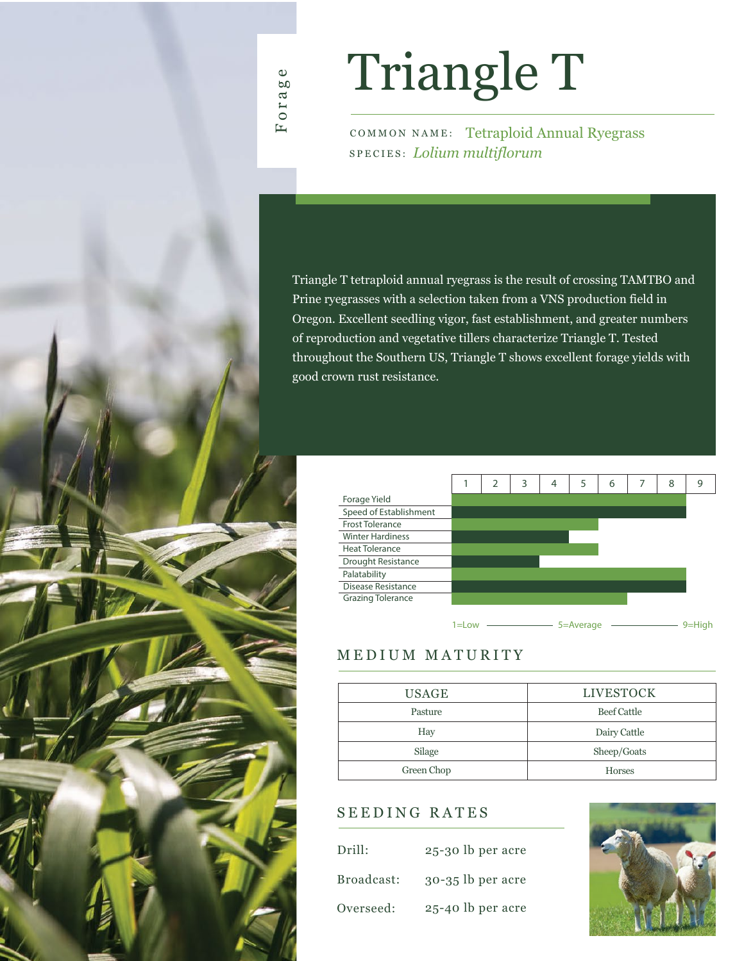# Triangle T

COMMON NAME: Tetraploid Annual Ryegrass SPECIES: *Lolium multiflorum*

Triangle T tetraploid annual ryegrass is the result of crossing TAMTBO and Prine ryegrasses with a selection taken from a VNS production field in Oregon. Excellent seedling vigor, fast establishment, and greater numbers of reproduction and vegetative tillers characterize Triangle T. Tested throughout the Southern US, Triangle T shows excellent forage yields with good crown rust resistance.



# MEDIUM MATURITY

| <b>USAGE</b> | <b>LIVESTOCK</b>   |  |  |  |  |
|--------------|--------------------|--|--|--|--|
| Pasture      | <b>Beef Cattle</b> |  |  |  |  |
| Hay          | Dairy Cattle       |  |  |  |  |
| Silage       | Sheep/Goats        |  |  |  |  |
| Green Chop   | <b>Horses</b>      |  |  |  |  |

# SEEDING RATES

| Drill:     | 25-30 lb per acre   |
|------------|---------------------|
| Broadcast: | $30-35$ lb per acre |
| Overseed:  | 25-40 lb per acre   |